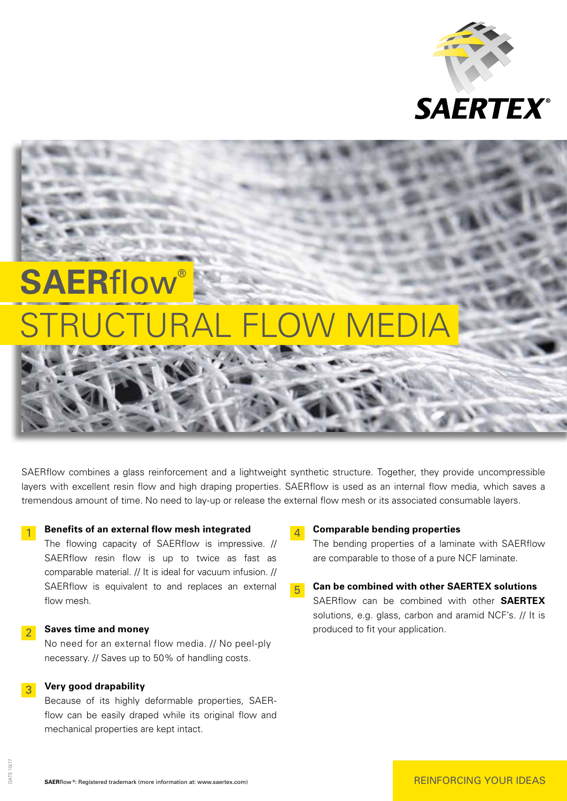

# **SAERflow** STRUCTURAL FLOW MEDIA

SAERflow combines a glass reinforcement and a lightweight synthetic structure. Together, they provide uncompressible layers with excellent resin flow and high draping properties. SAERflow is used as an internal flow media, which saves a tremendous amount of time. No need to lay-up or release the external flow mesh or its associated consumable layers.

# $\vert 1 \vert$  **Benefits of an external flow mesh integrated**

 The flowing capacity of SAERflow is impressive. // SAERflow resin flow is up to twice as fast as comparable material. // It is ideal for vacuum infusion. // SAERflow is equivalent to and replaces an external flow mesh.

## $2<sup>2</sup>$  **Saves time and money**

 No need for an external flow media. // No peel-ply necessary. // Saves up to 50% of handling costs.

## 3 **Very good drapability**

 Because of its highly deformable properties, SAERflow can be easily draped while its original flow and mechanical properties are kept intact.

### 4 **Comparable bending properties**

 The bending properties of a laminate with SAERflow are comparable to those of a pure NCF laminate.

5 **Can be combined with other SAERTEX solutions** SAERflow can be combined with other **SAERTEX** solutions, e.g. glass, carbon and aramid NCF's. // It is produced to fit your application.